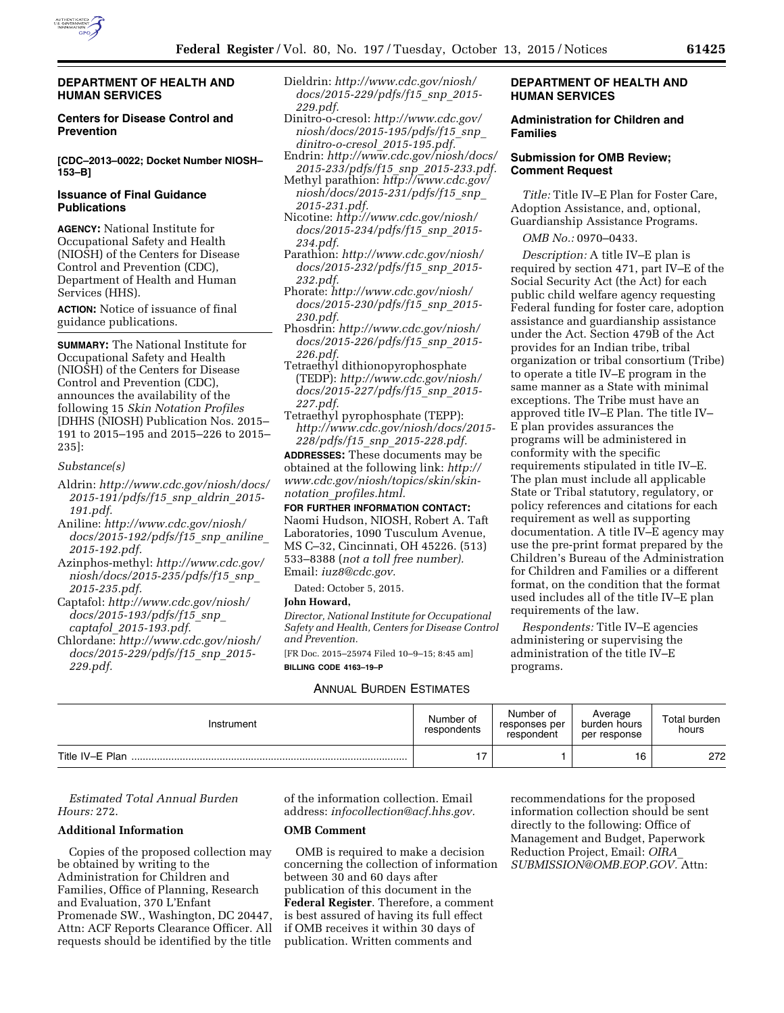

#### **DEPARTMENT OF HEALTH AND HUMAN SERVICES**

## **Centers for Disease Control and Prevention**

**[CDC–2013–0022; Docket Number NIOSH– 153–B]** 

### **Issuance of Final Guidance Publications**

**AGENCY:** National Institute for Occupational Safety and Health (NIOSH) of the Centers for Disease Control and Prevention (CDC), Department of Health and Human Services (HHS).

**ACTION:** Notice of issuance of final guidance publications.

**SUMMARY:** The National Institute for Occupational Safety and Health (NIOSH) of the Centers for Disease Control and Prevention (CDC), announces the availability of the following 15 *Skin Notation Profiles*  [DHHS (NIOSH) Publication Nos. 2015– 191 to 2015–195 and 2015–226 to 2015– 235]:

### *Substance(s)*

- Aldrin: *[http://www.cdc.gov/niosh/docs/](http://www.cdc.gov/niosh/docs/2015-191/pdfs/f15_snp_aldrin_2015-191.pdf) [2015-191/pdfs/f15](http://www.cdc.gov/niosh/docs/2015-191/pdfs/f15_snp_aldrin_2015-191.pdf)*\_*snp*\_*aldrin*\_*2015- [191.pdf.](http://www.cdc.gov/niosh/docs/2015-191/pdfs/f15_snp_aldrin_2015-191.pdf)*
- Aniline: *[http://www.cdc.gov/niosh/](http://www.cdc.gov/niosh/docs/2015-192/pdfs/f15_snp_aniline_2015-192.pdf) [docs/2015-192/pdfs/f15](http://www.cdc.gov/niosh/docs/2015-192/pdfs/f15_snp_aniline_2015-192.pdf)*\_*snp*\_*aniline*\_ *[2015-192.pdf.](http://www.cdc.gov/niosh/docs/2015-192/pdfs/f15_snp_aniline_2015-192.pdf)*
- Azinphos-methyl: *[http://www.cdc.gov/](http://www.cdc.gov/niosh/docs/2015-235/pdfs/f15_snp_2015-235.pdf) [niosh/docs/2015-235/pdfs/f15](http://www.cdc.gov/niosh/docs/2015-235/pdfs/f15_snp_2015-235.pdf)*\_*snp*\_ *[2015-235.pdf.](http://www.cdc.gov/niosh/docs/2015-235/pdfs/f15_snp_2015-235.pdf)*
- Captafol: *[http://www.cdc.gov/niosh/](http://www.cdc.gov/niosh/docs/2015-193/pdfs/f15_snp_captafol_2015-193.pdf) [docs/2015-193/pdfs/f15](http://www.cdc.gov/niosh/docs/2015-193/pdfs/f15_snp_captafol_2015-193.pdf)*\_*snp*\_ *captafol*\_*[2015-193.pdf.](http://www.cdc.gov/niosh/docs/2015-193/pdfs/f15_snp_captafol_2015-193.pdf)*
- Chlordane: *[http://www.cdc.gov/niosh/](http://www.cdc.gov/niosh/docs/2015-229/pdfs/f15_snp_2015-229.pdf) [docs/2015-229/pdfs/f15](http://www.cdc.gov/niosh/docs/2015-229/pdfs/f15_snp_2015-229.pdf)*\_*snp*\_*2015- [229.pdf.](http://www.cdc.gov/niosh/docs/2015-229/pdfs/f15_snp_2015-229.pdf)*
- Dieldrin: *[http://www.cdc.gov/niosh/](http://www.cdc.gov/niosh/docs/2015-229/pdfs/f15_snp_2015-229.pdf) [docs/2015-229/pdfs/f15](http://www.cdc.gov/niosh/docs/2015-229/pdfs/f15_snp_2015-229.pdf)*\_*snp*\_*2015- [229.pdf.](http://www.cdc.gov/niosh/docs/2015-229/pdfs/f15_snp_2015-229.pdf)*
- Dinitro-o-cresol: *[http://www.cdc.gov/](http://www.cdc.gov/niosh/docs/2015-195/pdfs/f15_snp_dinitro-o-cresol_2015-195.pdf) [niosh/docs/2015-195/pdfs/f15](http://www.cdc.gov/niosh/docs/2015-195/pdfs/f15_snp_dinitro-o-cresol_2015-195.pdf)*\_*snp*\_ *[dinitro-o-cresol](http://www.cdc.gov/niosh/docs/2015-195/pdfs/f15_snp_dinitro-o-cresol_2015-195.pdf)*\_*2015-195.pdf.*
- Endrin: *[http://www.cdc.gov/niosh/docs/](http://www.cdc.gov/niosh/docs/2015-233/pdfs/f15_snp_2015-233.pdf)  [2015-233/pdfs/f15](http://www.cdc.gov/niosh/docs/2015-233/pdfs/f15_snp_2015-233.pdf)*\_*snp*\_*2015-233.pdf.*  Methyl parathion: *[http://www.cdc.gov/](http://www.cdc.gov/niosh/docs/2015-231/pdfs/f15_snp_2015-231.pdf)*
- *[niosh/docs/2015-231/pdfs/f15](http://www.cdc.gov/niosh/docs/2015-231/pdfs/f15_snp_2015-231.pdf)*\_*snp*\_ *[2015-231.pdf.](http://www.cdc.gov/niosh/docs/2015-231/pdfs/f15_snp_2015-231.pdf)*
- Nicotine: *[http://www.cdc.gov/niosh/](http://www.cdc.gov/niosh/docs/2015-234/pdfs/f15_snp_2015-234.pdf) [docs/2015-234/pdfs/f15](http://www.cdc.gov/niosh/docs/2015-234/pdfs/f15_snp_2015-234.pdf)*\_*snp*\_*2015- [234.pdf.](http://www.cdc.gov/niosh/docs/2015-234/pdfs/f15_snp_2015-234.pdf)*
- Parathion: *[http://www.cdc.gov/niosh/](http://www.cdc.gov/niosh/docs/2015-232/pdfs/f15_snp_2015-232.pdf) [docs/2015-232/pdfs/f15](http://www.cdc.gov/niosh/docs/2015-232/pdfs/f15_snp_2015-232.pdf)*\_*snp*\_*2015- [232.pdf.](http://www.cdc.gov/niosh/docs/2015-232/pdfs/f15_snp_2015-232.pdf)*
- Phorate: *[http://www.cdc.gov/niosh/](http://www.cdc.gov/niosh/docs/2015-230/pdfs/f15_snp_2015-230.pdf) [docs/2015-230/pdfs/f15](http://www.cdc.gov/niosh/docs/2015-230/pdfs/f15_snp_2015-230.pdf)*\_*snp*\_*2015- [230.pdf.](http://www.cdc.gov/niosh/docs/2015-230/pdfs/f15_snp_2015-230.pdf)*
- Phosdrin: *[http://www.cdc.gov/niosh/](http://www.cdc.gov/niosh/docs/2015-226/pdfs/f15_snp_2015-226.pdf) [docs/2015-226/pdfs/f15](http://www.cdc.gov/niosh/docs/2015-226/pdfs/f15_snp_2015-226.pdf)*\_*snp*\_*2015- [226.pdf.](http://www.cdc.gov/niosh/docs/2015-226/pdfs/f15_snp_2015-226.pdf)*
- Tetraethyl dithionopyrophosphate (TEDP): *[http://www.cdc.gov/niosh/](http://www.cdc.gov/niosh/docs/2015-227/pdfs/f15_snp_2015-227.pdf) [docs/2015-227/pdfs/f15](http://www.cdc.gov/niosh/docs/2015-227/pdfs/f15_snp_2015-227.pdf)*\_*snp*\_*2015- [227.pdf.](http://www.cdc.gov/niosh/docs/2015-227/pdfs/f15_snp_2015-227.pdf)*
- Tetraethyl pyrophosphate (TEPP): *[http://www.cdc.gov/niosh/docs/2015-](http://www.cdc.gov/niosh/docs/2015-228/pdfs/f15_snp_2015-228.pdf) 228/pdfs/f15*\_*snp*\_*[2015-228.pdf.](http://www.cdc.gov/niosh/docs/2015-228/pdfs/f15_snp_2015-228.pdf)*

**ADDRESSES:** These documents may be obtained at the following link: *[http://](http://www.cdc.gov/niosh/topics/skin/skin-notation_profiles.html) [www.cdc.gov/niosh/topics/skin/skin](http://www.cdc.gov/niosh/topics/skin/skin-notation_profiles.html)notation*\_*[profiles.html.](http://www.cdc.gov/niosh/topics/skin/skin-notation_profiles.html)* 

#### **FOR FURTHER INFORMATION CONTACT:**

Naomi Hudson, NIOSH, Robert A. Taft Laboratories, 1090 Tusculum Avenue, MS C–32, Cincinnati, OH 45226. (513) 533–8388 (*not a toll free number).*  Email: *[iuz8@cdc.gov.](mailto:iuz8@cdc.gov)* 

Dated: October 5, 2015.

## **John Howard,**

*Director, National Institute for Occupational Safety and Health, Centers for Disease Control and Prevention.* 

[FR Doc. 2015–25974 Filed 10–9–15; 8:45 am] **BILLING CODE 4163–19–P** 

## ANNUAL BURDEN ESTIMATES

## **DEPARTMENT OF HEALTH AND HUMAN SERVICES**

## **Administration for Children and Families**

## **Submission for OMB Review; Comment Request**

*Title:* Title IV–E Plan for Foster Care, Adoption Assistance, and, optional, Guardianship Assistance Programs.

*OMB No.:* 0970–0433.

*Description:* A title IV–E plan is required by section 471, part IV–E of the Social Security Act (the Act) for each public child welfare agency requesting Federal funding for foster care, adoption assistance and guardianship assistance under the Act. Section 479B of the Act provides for an Indian tribe, tribal organization or tribal consortium (Tribe) to operate a title IV–E program in the same manner as a State with minimal exceptions. The Tribe must have an approved title IV–E Plan. The title IV– E plan provides assurances the programs will be administered in conformity with the specific requirements stipulated in title IV–E. The plan must include all applicable State or Tribal statutory, regulatory, or policy references and citations for each requirement as well as supporting documentation. A title IV–E agency may use the pre-print format prepared by the Children's Bureau of the Administration for Children and Families or a different format, on the condition that the format used includes all of the title IV–E plan requirements of the law.

*Respondents:* Title IV–E agencies administering or supervising the administration of the title IV–E programs.

| Instrument      | Number of<br>respondents | Number of<br>responses per<br>respondent | Average<br>burden hours<br>per response | Total burden<br>hours |
|-----------------|--------------------------|------------------------------------------|-----------------------------------------|-----------------------|
| Title IV-E Plan |                          |                                          | 16                                      | 272                   |

*Estimated Total Annual Burden Hours:* 272.

### **Additional Information**

Copies of the proposed collection may be obtained by writing to the Administration for Children and Families, Office of Planning, Research and Evaluation, 370 L'Enfant Promenade SW., Washington, DC 20447, Attn: ACF Reports Clearance Officer. All requests should be identified by the title

of the information collection. Email address: *[infocollection@acf.hhs.gov.](mailto:infocollection@acf.hhs.gov)* 

### **OMB Comment**

OMB is required to make a decision concerning the collection of information between 30 and 60 days after publication of this document in the **Federal Register**. Therefore, a comment is best assured of having its full effect if OMB receives it within 30 days of publication. Written comments and

recommendations for the proposed information collection should be sent directly to the following: Office of Management and Budget, Paperwork Reduction Project, Email: *[OIRA](mailto:OIRA_SUBMISSION@OMB.EOP.GOV)*\_ *[SUBMISSION@OMB.EOP.GOV.](mailto:OIRA_SUBMISSION@OMB.EOP.GOV)* Attn: